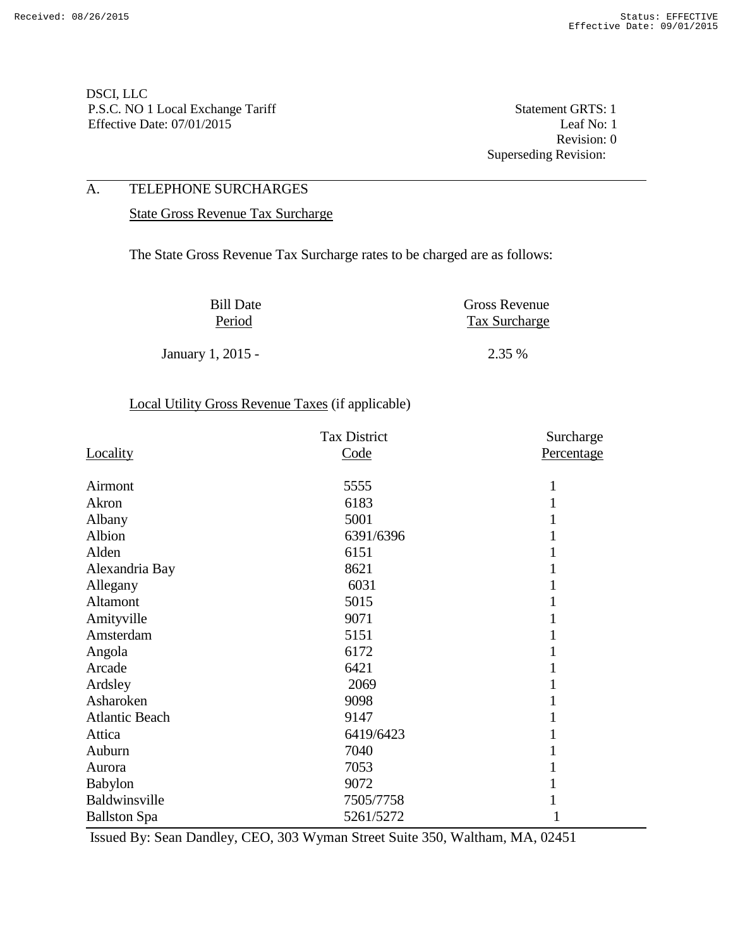Revision: 0 Superseding Revision:

### A. TELEPHONE SURCHARGES

State Gross Revenue Tax Surcharge

The State Gross Revenue Tax Surcharge rates to be charged are as follows:

| <b>Bill Date</b>  | <b>Gross Revenue</b> |
|-------------------|----------------------|
| Period            | <b>Tax Surcharge</b> |
|                   |                      |
| January 1, 2015 - | 2.35 %               |

# Local Utility Gross Revenue Taxes (if applicable)

|                       | <b>Tax District</b> | Surcharge  |
|-----------------------|---------------------|------------|
| Locality              | Code                | Percentage |
|                       |                     |            |
| Airmont               | 5555                |            |
| Akron                 | 6183                |            |
| Albany                | 5001                |            |
| Albion                | 6391/6396           |            |
| Alden                 | 6151                |            |
| Alexandria Bay        | 8621                |            |
| Allegany              | 6031                |            |
| Altamont              | 5015                |            |
| Amityville            | 9071                |            |
| Amsterdam             | 5151                |            |
| Angola                | 6172                |            |
| Arcade                | 6421                |            |
| Ardsley               | 2069                |            |
| Asharoken             | 9098                |            |
| <b>Atlantic Beach</b> | 9147                |            |
| Attica                | 6419/6423           |            |
| Auburn                | 7040                |            |
| Aurora                | 7053                |            |
| <b>Babylon</b>        | 9072                |            |
| Baldwinsville         | 7505/7758           |            |
| <b>Ballston Spa</b>   | 5261/5272           | 1          |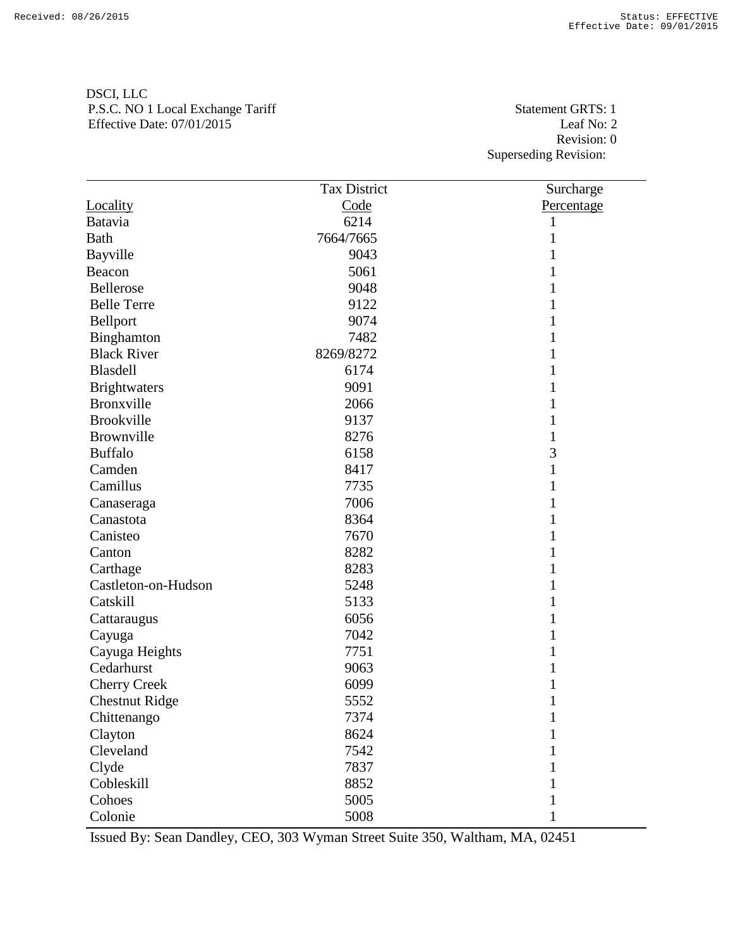Revision: 0 Superseding Revision:

|                       | <b>Tax District</b> | Surcharge    |
|-----------------------|---------------------|--------------|
| Locality              | Code                | Percentage   |
| Batavia               | 6214                | 1            |
| <b>Bath</b>           | 7664/7665           | 1            |
| Bayville              | 9043                |              |
| Beacon                | 5061                | 1            |
| Bellerose             | 9048                |              |
| <b>Belle Terre</b>    | 9122                |              |
| Bellport              | 9074                | 1            |
| Binghamton            | 7482                |              |
| <b>Black River</b>    | 8269/8272           | 1            |
| Blasdell              | 6174                | 1            |
| <b>Brightwaters</b>   | 9091                |              |
| Bronxville            | 2066                | 1            |
| <b>Brookville</b>     | 9137                | 1            |
| Brownville            | 8276                | 1            |
| <b>Buffalo</b>        | 6158                | 3            |
| Camden                | 8417                | 1            |
| Camillus              | 7735                | 1            |
| Canaseraga            | 7006                |              |
| Canastota             | 8364                | 1            |
| Canisteo              | 7670                | 1            |
| Canton                | 8282                |              |
| Carthage              | 8283                | 1            |
| Castleton-on-Hudson   | 5248                | 1            |
| Catskill              | 5133                | 1            |
| Cattaraugus           | 6056                |              |
| Cayuga                | 7042                | 1            |
| Cayuga Heights        | 7751                | 1            |
| Cedarhurst            | 9063                |              |
| <b>Cherry Creek</b>   | 6099                | 1            |
| <b>Chestnut Ridge</b> | 5552                | 1            |
| Chittenango           | 7374                | $\mathbf{1}$ |
| Clayton               | 8624                | 1            |
| Cleveland             | 7542                |              |
| Clyde                 | 7837                |              |
| Cobleskill            | 8852                |              |
| Cohoes                | 5005                |              |
| Colonie               | 5008                | 1            |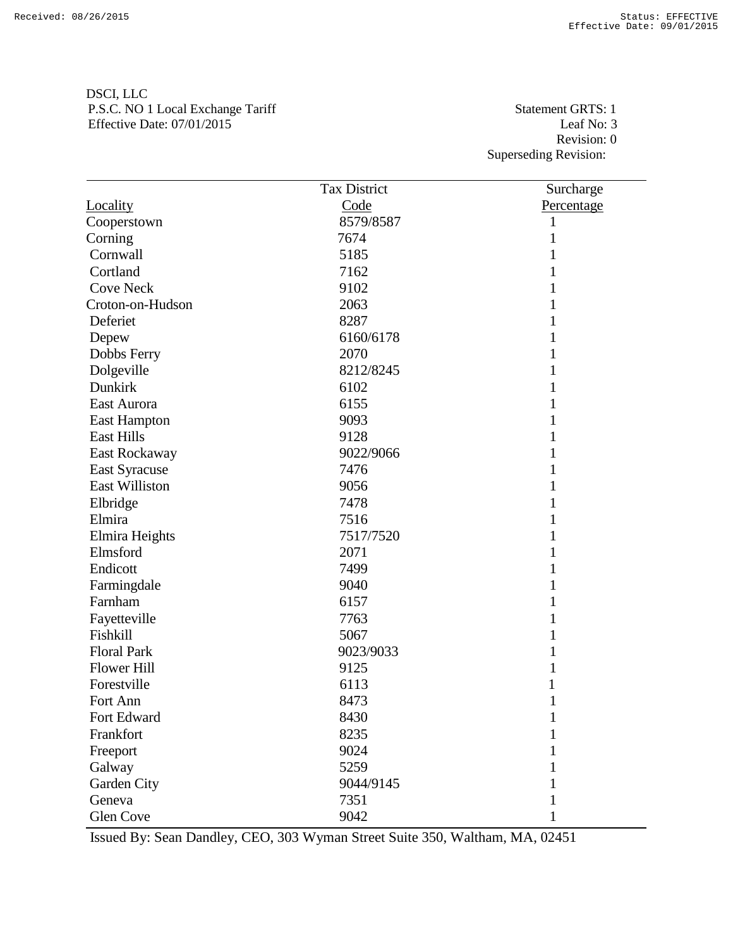Revision: 0 Superseding Revision:

|                       | <b>Tax District</b> | Surcharge  |
|-----------------------|---------------------|------------|
| Locality              | Code                | Percentage |
| Cooperstown           | 8579/8587           | 1          |
| Corning               | 7674                | 1          |
| Cornwall              | 5185                |            |
| Cortland              | 7162                | 1          |
| <b>Cove Neck</b>      | 9102                |            |
| Croton-on-Hudson      | 2063                | 1          |
| Deferiet              | 8287                | 1          |
| Depew                 | 6160/6178           | 1          |
| Dobbs Ferry           | 2070                | 1          |
| Dolgeville            | 8212/8245           | 1          |
| Dunkirk               | 6102                | 1          |
| East Aurora           | 6155                | 1          |
| <b>East Hampton</b>   | 9093                | 1          |
| <b>East Hills</b>     | 9128                | 1          |
| East Rockaway         | 9022/9066           | 1          |
| <b>East Syracuse</b>  | 7476                | 1          |
| <b>East Williston</b> | 9056                | 1          |
| Elbridge              | 7478                |            |
| Elmira                | 7516                | 1          |
| Elmira Heights        | 7517/7520           | 1          |
| Elmsford              | 2071                | 1          |
| Endicott              | 7499                | 1          |
| Farmingdale           | 9040                | 1          |
| Farnham               | 6157                | 1          |
| Fayetteville          | 7763                | 1          |
| Fishkill              | 5067                | 1          |
| <b>Floral Park</b>    | 9023/9033           | 1          |
| <b>Flower Hill</b>    | 9125                |            |
| Forestville           | 6113                |            |
| Fort Ann              | 8473                |            |
| Fort Edward           | 8430                | 1          |
| Frankfort             | 8235                |            |
| Freeport              | 9024                |            |
| Galway                | 5259                |            |
| Garden City           | 9044/9145           |            |
| Geneva                | 7351                |            |
| Glen Cove             | 9042                |            |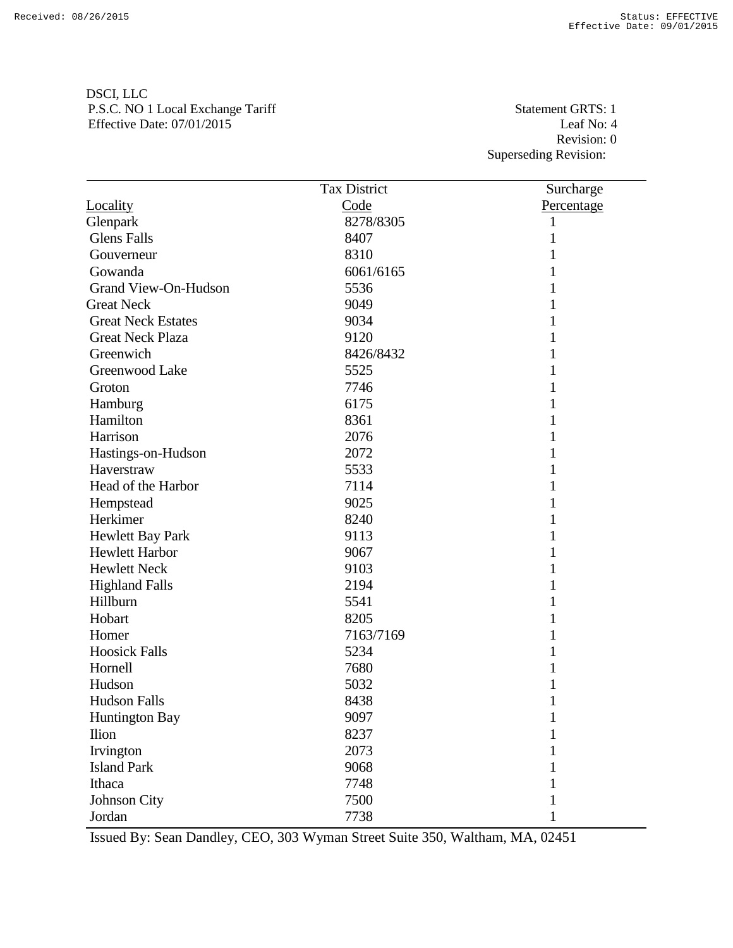Revision: 0 Superseding Revision:

|                           | <b>Tax District</b> | Surcharge   |
|---------------------------|---------------------|-------------|
| Locality                  | Code                | Percentage  |
| Glenpark                  | 8278/8305           | 1           |
| <b>Glens Falls</b>        | 8407                | 1           |
| Gouverneur                | 8310                |             |
| Gowanda                   | 6061/6165           |             |
| Grand View-On-Hudson      | 5536                |             |
| <b>Great Neck</b>         | 9049                |             |
| <b>Great Neck Estates</b> | 9034                |             |
| <b>Great Neck Plaza</b>   | 9120                |             |
| Greenwich                 | 8426/8432           | 1           |
| Greenwood Lake            | 5525                |             |
| Groton                    | 7746                |             |
| Hamburg                   | 6175                |             |
| Hamilton                  | 8361                |             |
| Harrison                  | 2076                |             |
| Hastings-on-Hudson        | 2072                |             |
| Haverstraw                | 5533                |             |
| Head of the Harbor        | 7114                |             |
| Hempstead                 | 9025                |             |
| Herkimer                  | 8240                |             |
| Hewlett Bay Park          | 9113                |             |
| Hewlett Harbor            | 9067                |             |
| <b>Hewlett Neck</b>       | 9103                |             |
| <b>Highland Falls</b>     | 2194                |             |
| Hillburn                  | 5541                |             |
| Hobart                    | 8205                |             |
| Homer                     | 7163/7169           |             |
| <b>Hoosick Falls</b>      | 5234                |             |
| Hornell                   | 7680                |             |
| Hudson                    | 5032                |             |
| <b>Hudson Falls</b>       | 8438                |             |
| Huntington Bay            | 9097                | $\mathbf 1$ |
| <b>Ilion</b>              | 8237                | 1           |
| Irvington                 | 2073                |             |
| <b>Island Park</b>        | 9068                |             |
| Ithaca                    | 7748                |             |
| Johnson City              | 7500                |             |
| Jordan                    | 7738                | 1           |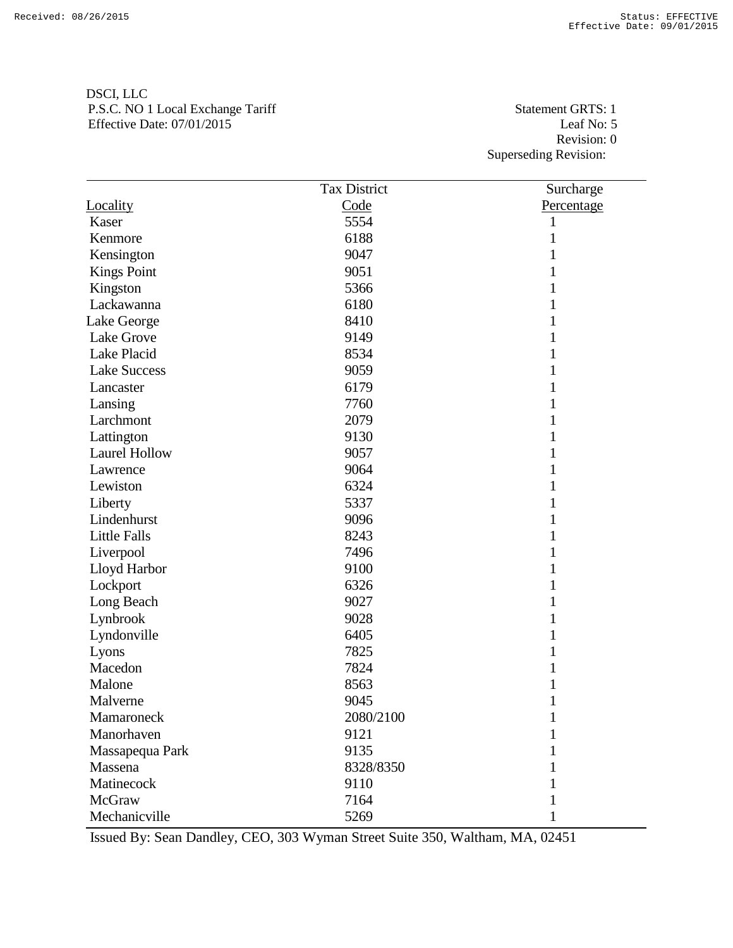Revision: 0 Superseding Revision:

|                      | <b>Tax District</b> | Surcharge    |
|----------------------|---------------------|--------------|
| Locality             | Code                | Percentage   |
| Kaser                | 5554                |              |
| Kenmore              | 6188                |              |
| Kensington           | 9047                |              |
| <b>Kings Point</b>   | 9051                |              |
| Kingston             | 5366                |              |
| Lackawanna           | 6180                |              |
| Lake George          | 8410                |              |
| Lake Grove           | 9149                |              |
| Lake Placid          | 8534                |              |
| <b>Lake Success</b>  | 9059                |              |
| Lancaster            | 6179                |              |
| Lansing              | 7760                |              |
| Larchmont            | 2079                |              |
| Lattington           | 9130                |              |
| <b>Laurel Hollow</b> | 9057                |              |
| Lawrence             | 9064                |              |
| Lewiston             | 6324                |              |
| Liberty              | 5337                |              |
| Lindenhurst          | 9096                |              |
| <b>Little Falls</b>  | 8243                |              |
| Liverpool            | 7496                |              |
| Lloyd Harbor         | 9100                |              |
| Lockport             | 6326                |              |
| Long Beach           | 9027                |              |
| Lynbrook             | 9028                |              |
| Lyndonville          | 6405                |              |
| Lyons                | 7825                |              |
| Macedon              | 7824                |              |
| Malone               | 8563                |              |
| Malverne             | 9045                |              |
| Mamaroneck           | 2080/2100           | $\mathbf{1}$ |
| Manorhaven           | 9121                |              |
| Massapequa Park      | 9135                |              |
| Massena              | 8328/8350           |              |
| Matinecock           | 9110                |              |
| McGraw               | 7164                |              |
| Mechanicville        | 5269                | 1            |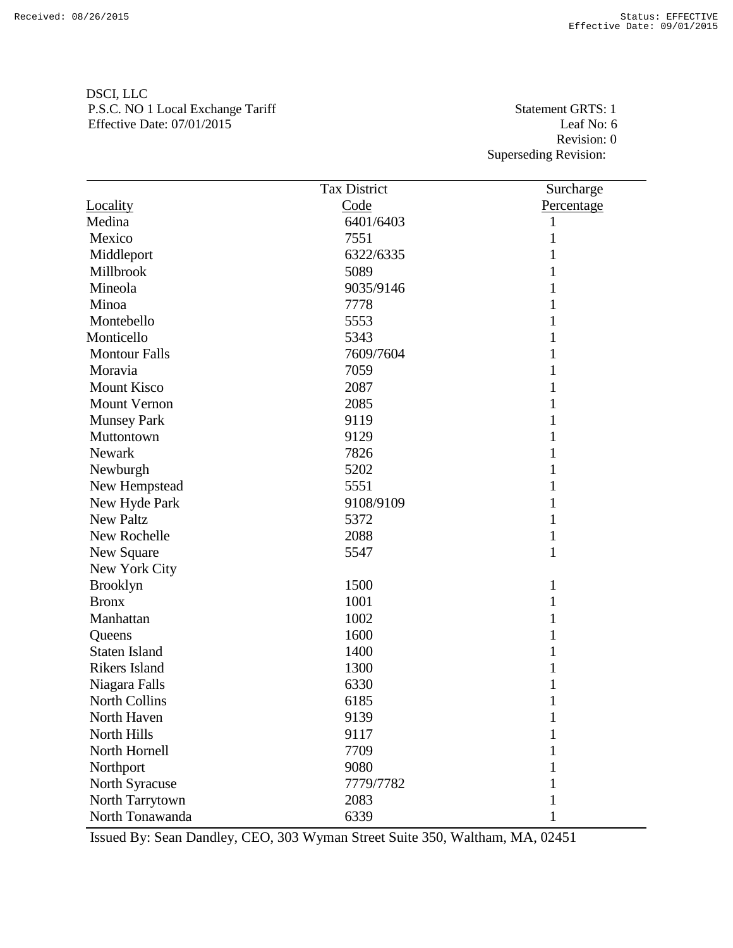Revision: 0 Superseding Revision:

|                      | <b>Tax District</b> | Surcharge    |
|----------------------|---------------------|--------------|
| Locality             | Code                | Percentage   |
| Medina               | 6401/6403           | 1            |
| Mexico               | 7551                | 1            |
| Middleport           | 6322/6335           |              |
| Millbrook            | 5089                | 1            |
| Mineola              | 9035/9146           | 1            |
| Minoa                | 7778                | 1            |
| Montebello           | 5553                | 1            |
| Monticello           | 5343                | 1            |
| <b>Montour Falls</b> | 7609/7604           | 1            |
| Moravia              | 7059                | 1            |
| <b>Mount Kisco</b>   | 2087                |              |
| <b>Mount Vernon</b>  | 2085                | 1            |
| <b>Munsey Park</b>   | 9119                | 1            |
| Muttontown           | 9129                | 1            |
| Newark               | 7826                | 1            |
| Newburgh             | 5202                | 1            |
| New Hempstead        | 5551                | 1            |
| New Hyde Park        | 9108/9109           | 1            |
| <b>New Paltz</b>     | 5372                | 1            |
| New Rochelle         | 2088                | $\mathbf{1}$ |
| New Square           | 5547                | $\mathbf{1}$ |
| New York City        |                     |              |
| <b>Brooklyn</b>      | 1500                | 1            |
| <b>Bronx</b>         | 1001                | 1            |
| Manhattan            | 1002                | 1            |
| Queens               | 1600                | 1            |
| <b>Staten Island</b> | 1400                | 1            |
| <b>Rikers Island</b> | 1300                |              |
| Niagara Falls        | 6330                | 1            |
| North Collins        | 6185                | 1            |
| North Haven          | 9139                | $\mathbf{1}$ |
| North Hills          | 9117                | 1            |
| North Hornell        | 7709                |              |
| Northport            | 9080                |              |
| North Syracuse       | 7779/7782           |              |
| North Tarrytown      | 2083                |              |
| North Tonawanda      | 6339                | 1            |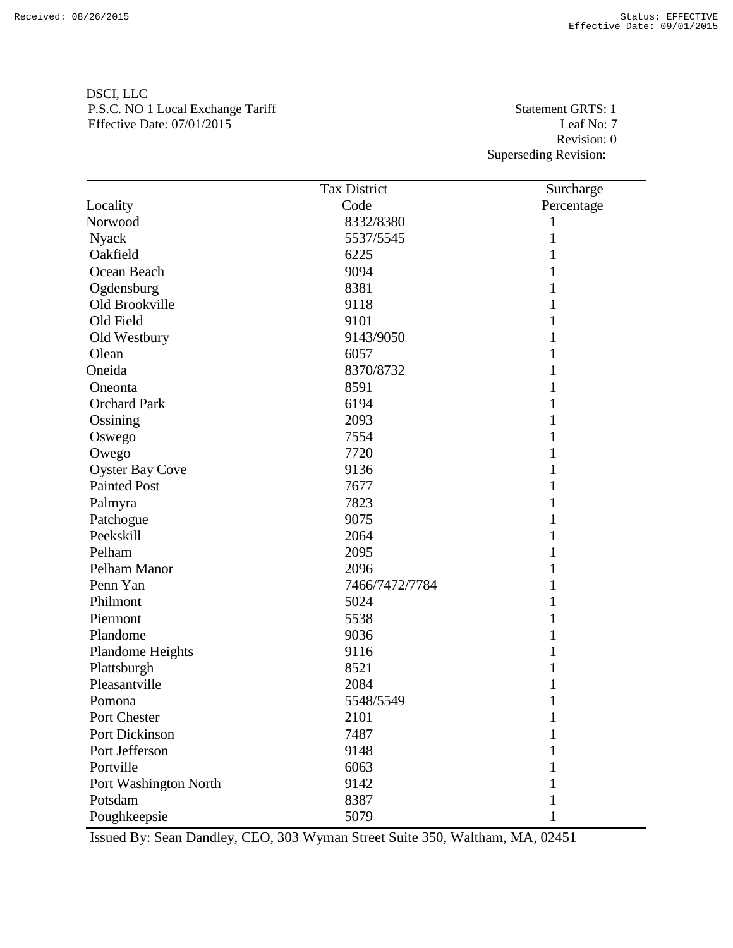Revision: 0 Superseding Revision:

|                        | <b>Tax District</b> | Surcharge    |
|------------------------|---------------------|--------------|
| Locality               | Code                | Percentage   |
| Norwood                | 8332/8380           | 1            |
| <b>Nyack</b>           | 5537/5545           |              |
| Oakfield               | 6225                |              |
| Ocean Beach            | 9094                |              |
| Ogdensburg             | 8381                |              |
| Old Brookville         | 9118                |              |
| Old Field              | 9101                |              |
| Old Westbury           | 9143/9050           |              |
| Olean                  | 6057                |              |
| Oneida                 | 8370/8732           |              |
| Oneonta                | 8591                |              |
| <b>Orchard Park</b>    | 6194                |              |
| Ossining               | 2093                |              |
| Oswego                 | 7554                | 1            |
| Owego                  | 7720                |              |
| <b>Oyster Bay Cove</b> | 9136                |              |
| <b>Painted Post</b>    | 7677                |              |
| Palmyra                | 7823                |              |
| Patchogue              | 9075                |              |
| Peekskill              | 2064                |              |
| Pelham                 | 2095                |              |
| Pelham Manor           | 2096                |              |
| Penn Yan               | 7466/7472/7784      | 1            |
| Philmont               | 5024                |              |
| Piermont               | 5538                |              |
| Plandome               | 9036                | 1            |
| Plandome Heights       | 9116                |              |
| Plattsburgh            | 8521                |              |
| Pleasantville          | 2084                |              |
| Pomona                 | 5548/5549           |              |
| Port Chester           | 2101                | $\mathbf{1}$ |
| Port Dickinson         | 7487                |              |
| Port Jefferson         | 9148                |              |
| Portville              | 6063                |              |
| Port Washington North  | 9142                |              |
| Potsdam                | 8387                |              |
| Poughkeepsie           | 5079                |              |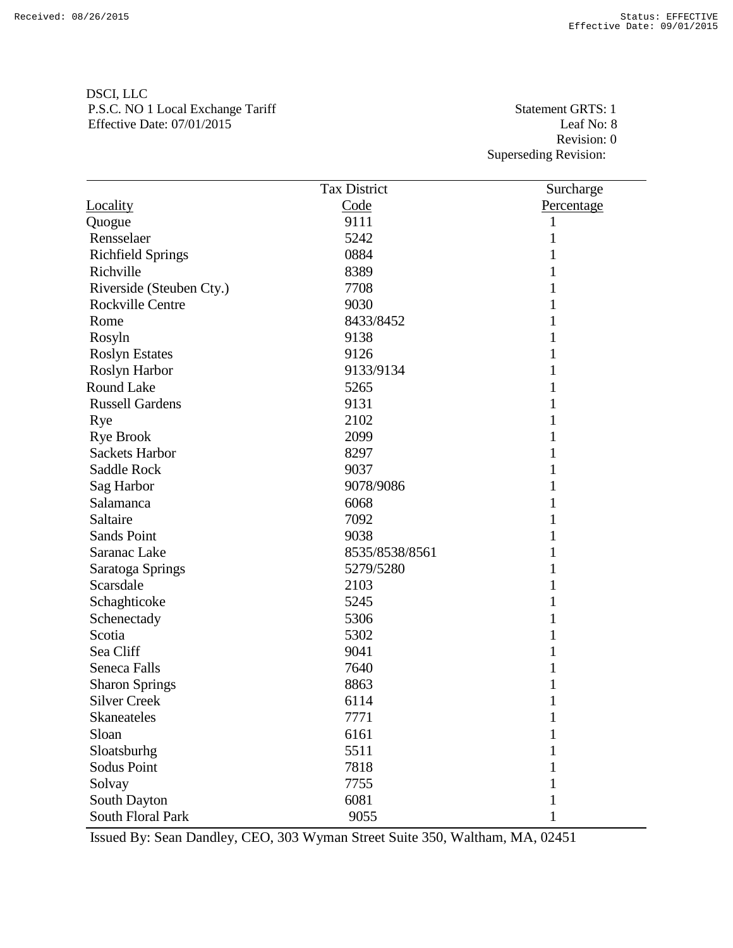Revision: 0 Superseding Revision:

|                          | <b>Tax District</b> | Surcharge  |
|--------------------------|---------------------|------------|
| Locality                 | Code                | Percentage |
| Quogue                   | 9111                | 1          |
| Rensselaer               | 5242                |            |
| <b>Richfield Springs</b> | 0884                | 1          |
| Richville                | 8389                |            |
| Riverside (Steuben Cty.) | 7708                |            |
| <b>Rockville Centre</b>  | 9030                | 1          |
| Rome                     | 8433/8452           | 1          |
| Rosyln                   | 9138                | 1          |
| <b>Roslyn Estates</b>    | 9126                | 1          |
| Roslyn Harbor            | 9133/9134           | 1          |
| <b>Round Lake</b>        | 5265                | 1          |
| <b>Russell Gardens</b>   | 9131                |            |
| Rye                      | 2102                | 1          |
| <b>Rye Brook</b>         | 2099                | 1          |
| <b>Sackets Harbor</b>    | 8297                |            |
| Saddle Rock              | 9037                | 1          |
| Sag Harbor               | 9078/9086           | 1          |
| Salamanca                | 6068                | 1          |
| Saltaire                 | 7092                | 1          |
| <b>Sands Point</b>       | 9038                | 1          |
| Saranac Lake             | 8535/8538/8561      | 1          |
| Saratoga Springs         | 5279/5280           |            |
| Scarsdale                | 2103                | 1          |
| Schaghticoke             | 5245                | 1          |
| Schenectady              | 5306                |            |
| Scotia                   | 5302                | 1          |
| Sea Cliff                | 9041                | 1          |
| Seneca Falls             | 7640                |            |
| <b>Sharon Springs</b>    | 8863                |            |
| <b>Silver Creek</b>      | 6114                |            |
| Skaneateles              | 7771                | 1          |
| Sloan                    | 6161                | 1          |
| Sloatsburhg              | 5511                | 1          |
| Sodus Point              | 7818                |            |
| Solvay                   | 7755                |            |
| South Dayton             | 6081                |            |
| South Floral Park        | 9055                |            |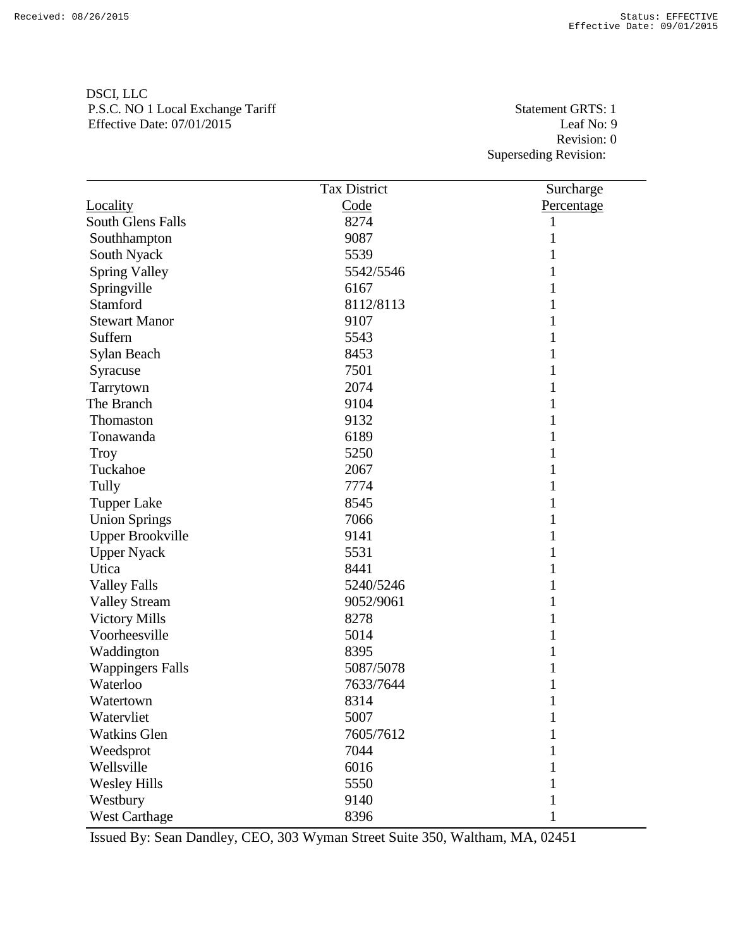| DSCI, LLC                         |
|-----------------------------------|
| P.S.C. NO 1 Local Exchange Tariff |
| Effective Date: $07/01/2015$      |

Statement GRTS: 1 Leaf No: 9 Revision: 0 Superseding Revision:

|                          | <b>Tax District</b> | Surcharge    |
|--------------------------|---------------------|--------------|
| Locality                 | Code                | Percentage   |
| <b>South Glens Falls</b> | 8274                | 1            |
| Southhampton             | 9087                | 1            |
| South Nyack              | 5539                |              |
| <b>Spring Valley</b>     | 5542/5546           | 1            |
| Springville              | 6167                |              |
| Stamford                 | 8112/8113           | 1            |
| <b>Stewart Manor</b>     | 9107                | 1            |
| Suffern                  | 5543                | 1            |
| Sylan Beach              | 8453                | 1            |
| Syracuse                 | 7501                | 1            |
| Tarrytown                | 2074                | 1            |
| The Branch               | 9104                | 1            |
| Thomaston                | 9132                | 1            |
| Tonawanda                | 6189                | 1            |
| Troy                     | 5250                | 1            |
| Tuckahoe                 | 2067                | 1            |
| Tully                    | 7774                | 1            |
| <b>Tupper Lake</b>       | 8545                |              |
| <b>Union Springs</b>     | 7066                | 1            |
| <b>Upper Brookville</b>  | 9141                | 1            |
| <b>Upper Nyack</b>       | 5531                | 1            |
| Utica                    | 8441                | 1            |
| <b>Valley Falls</b>      | 5240/5246           | 1            |
| <b>Valley Stream</b>     | 9052/9061           | 1            |
| <b>Victory Mills</b>     | 8278                |              |
| Voorheesville            | 5014                | 1            |
| Waddington               | 8395                | 1            |
| <b>Wappingers Falls</b>  | 5087/5078           |              |
| Waterloo                 | 7633/7644           | 1            |
| Watertown                | 8314                | 1            |
| Watervliet               | 5007                | $\mathbf{1}$ |
| <b>Watkins Glen</b>      | 7605/7612           |              |
| Weedsprot                | 7044                |              |
| Wellsville               | 6016                |              |
| <b>Wesley Hills</b>      | 5550                |              |
| Westbury                 | 9140                |              |
| <b>West Carthage</b>     | 8396                |              |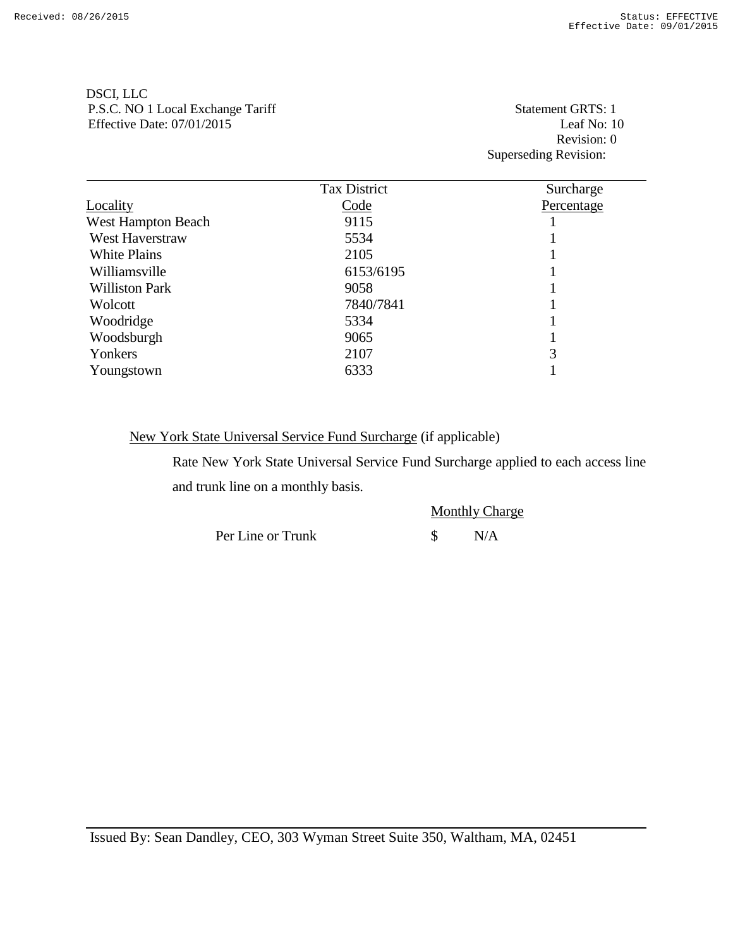DSCI, LLC

|                           | REVISION.           |                       |
|---------------------------|---------------------|-----------------------|
|                           |                     | Superseding Revision: |
|                           |                     |                       |
|                           | <b>Tax District</b> | Surcharge             |
| Locality                  | Code                | Percentage            |
| <b>West Hampton Beach</b> | 9115                |                       |
| <b>West Haverstraw</b>    | 5534                |                       |
| <b>White Plains</b>       | 2105                |                       |
| Williamsville             | 6153/6195           |                       |
| <b>Williston Park</b>     | 9058                |                       |
| Wolcott                   | 7840/7841           |                       |
| Woodridge                 | 5334                |                       |
| Woodsburgh                | 9065                |                       |
| Yonkers                   | 2107                | 3                     |
| Youngstown                | 6333                |                       |
|                           |                     |                       |

New York State Universal Service Fund Surcharge (if applicable)

Rate New York State Universal Service Fund Surcharge applied to each access line and trunk line on a monthly basis.

P.S.C. NO 1 Local Exchange Tariff Statement GRTS: 1 Effective Date: 07/01/2015 Leaf No: 10 Revision: 0

> Monthly Charge Per Line or Trunk  $\qquad$  \$ N/A